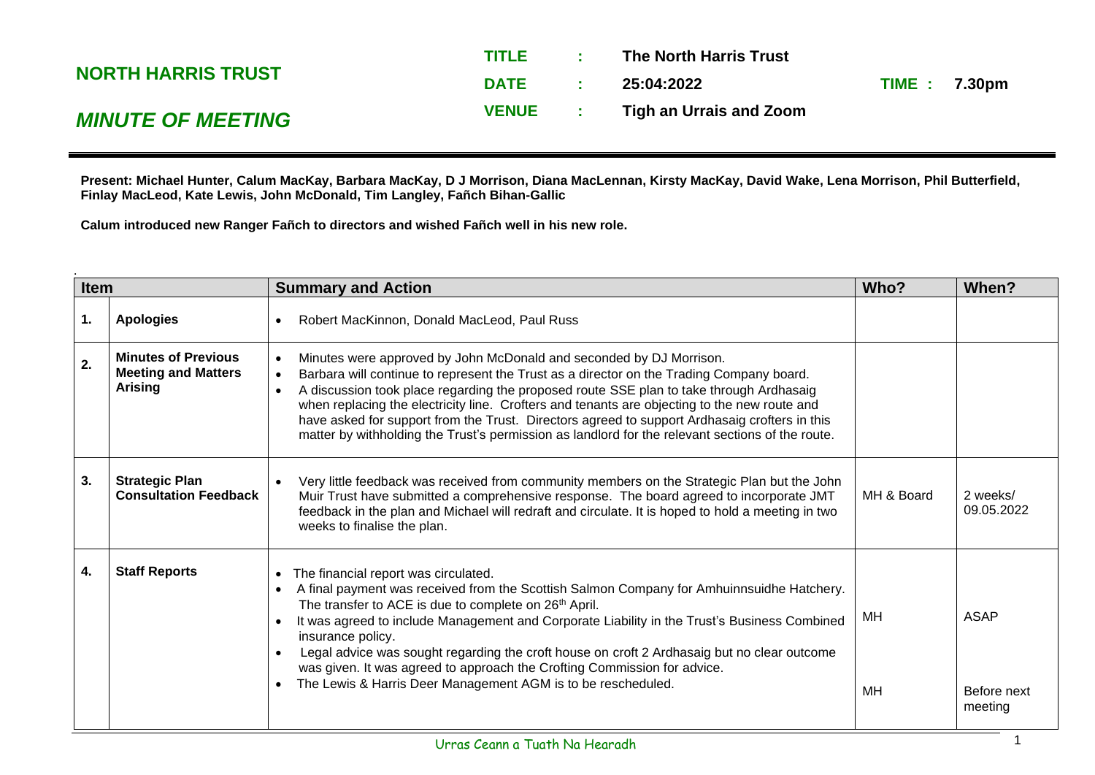|                           | <b>TITLE</b> |                          | The North Harris Trust  |                     |  |
|---------------------------|--------------|--------------------------|-------------------------|---------------------|--|
| <b>NORTH HARRIS TRUST</b> | <b>DATE</b>  | <b>Contract Contract</b> | 25:04:2022              | <b>TIME: 7.30pm</b> |  |
| <b>MINUTE OF MEETING</b>  | <b>VENUE</b> |                          | Tigh an Urrais and Zoom |                     |  |

**Present: Michael Hunter, Calum MacKay, Barbara MacKay, D J Morrison, Diana MacLennan, Kirsty MacKay, David Wake, Lena Morrison, Phil Butterfield, Finlay MacLeod, Kate Lewis, John McDonald, Tim Langley, Fañch Bihan-Gallic**

**Calum introduced new Ranger Fañch to directors and wished Fañch well in his new role.**

| <b>Item</b> |                                                                            | <b>Summary and Action</b>                                                                                                                                                                                                                                                                                                                                                                                                                                                                                                                                                                                                               | Who?            | When?                                 |
|-------------|----------------------------------------------------------------------------|-----------------------------------------------------------------------------------------------------------------------------------------------------------------------------------------------------------------------------------------------------------------------------------------------------------------------------------------------------------------------------------------------------------------------------------------------------------------------------------------------------------------------------------------------------------------------------------------------------------------------------------------|-----------------|---------------------------------------|
| 1.          | <b>Apologies</b>                                                           | Robert MacKinnon, Donald MacLeod, Paul Russ<br>$\bullet$                                                                                                                                                                                                                                                                                                                                                                                                                                                                                                                                                                                |                 |                                       |
| 2.          | <b>Minutes of Previous</b><br><b>Meeting and Matters</b><br><b>Arising</b> | Minutes were approved by John McDonald and seconded by DJ Morrison.<br>Barbara will continue to represent the Trust as a director on the Trading Company board.<br>$\bullet$<br>A discussion took place regarding the proposed route SSE plan to take through Ardhasaig<br>when replacing the electricity line. Crofters and tenants are objecting to the new route and<br>have asked for support from the Trust. Directors agreed to support Ardhasaig crofters in this<br>matter by withholding the Trust's permission as landlord for the relevant sections of the route.                                                            |                 |                                       |
| 3.          | <b>Strategic Plan</b><br><b>Consultation Feedback</b>                      | Very little feedback was received from community members on the Strategic Plan but the John<br>Muir Trust have submitted a comprehensive response. The board agreed to incorporate JMT<br>feedback in the plan and Michael will redraft and circulate. It is hoped to hold a meeting in two<br>weeks to finalise the plan.                                                                                                                                                                                                                                                                                                              | MH & Board      | 2 weeks/<br>09.05.2022                |
| 4.          | <b>Staff Reports</b>                                                       | The financial report was circulated.<br>$\bullet$<br>A final payment was received from the Scottish Salmon Company for Amhuinnsuidhe Hatchery.<br>$\bullet$<br>The transfer to ACE is due to complete on 26 <sup>th</sup> April.<br>It was agreed to include Management and Corporate Liability in the Trust's Business Combined<br>$\bullet$<br>insurance policy.<br>Legal advice was sought regarding the croft house on croft 2 Ardhasaig but no clear outcome<br>$\bullet$<br>was given. It was agreed to approach the Crofting Commission for advice.<br>The Lewis & Harris Deer Management AGM is to be rescheduled.<br>$\bullet$ | MН<br><b>MH</b> | <b>ASAP</b><br>Before next<br>meeting |